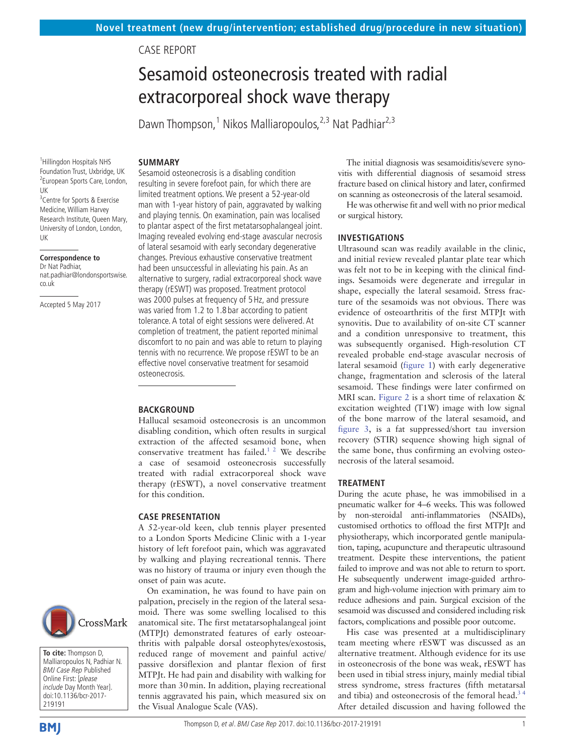# Case report

# Sesamoid osteonecrosis treated with radial extracorporeal shock wave therapy

Dawn Thompson,<sup>1</sup> Nikos Malliaropoulos,<sup>2,3</sup> Nat Padhiar<sup>2,3</sup>

1 Hillingdon Hospitals NHS Foundation Trust, Uxbridge, UK <sup>2</sup> European Sports Care, London, UK <sup>3</sup> Centre for Sports & Exercise Medicine, William Harvey Research Institute, Queen Mary, University of London, London, UK

#### **Correspondence to**

Dr Nat Padhiar, nat.padhiar@londonsportswise. co.uk

Accepted 5 May 2017



**To cite:** Thompson D, Malliaropoulos N, Padhiar N. BMJ Case Rep Published Online First: [please include Day Month Year]. doi:10.1136/bcr-2017- 219191

**BMI** 

#### **Summary**

Sesamoid osteonecrosis is a disabling condition resulting in severe forefoot pain, for which there are limited treatment options. We present a 52-year-old man with 1-year history of pain, aggravated by walking and playing tennis. On examination, pain was localised to plantar aspect of the first metatarsophalangeal joint. Imaging revealed evolving end-stage avascular necrosis of lateral sesamoid with early secondary degenerative changes. Previous exhaustive conservative treatment had been unsuccessful in alleviating his pain. As an alternative to surgery, radial extracorporeal shock wave therapy (rESWT) was proposed. Treatment protocol was 2000 pulses at frequency of 5Hz, and pressure was varied from 1.2 to 1.8 bar according to patient tolerance. A total of eight sessions were delivered. At completion of treatment, the patient reported minimal discomfort to no pain and was able to return to playing tennis with no recurrence. We propose rESWT to be an effective novel conservative treatment for sesamoid osteonecrosis.

#### **BACKGROUND**

Hallucal sesamoid osteonecrosis is an uncommon disabling condition, which often results in surgical extraction of the affected sesamoid bone, when conservative treatment has failed.<sup>1</sup> <sup>2</sup> We describe a case of sesamoid osteonecrosis successfully treated with radial extracorporeal shock wave therapy (rESWT), a novel conservative treatment for this condition.

#### **Case presentation**

A 52-year-old keen, club tennis player presented to a London Sports Medicine Clinic with a 1-year history of left forefoot pain, which was aggravated by walking and playing recreational tennis. There was no history of trauma or injury even though the onset of pain was acute.

On examination, he was found to have pain on palpation, precisely in the region of the lateral sesamoid. There was some swelling localised to this anatomical site. The first metatarsophalangeal joint (MTPJt) demonstrated features of early osteoarthritis with palpable dorsal osteophytes/exostosis, reduced range of movement and painful active/ passive dorsiflexion and plantar flexion of first MTPJt. He had pain and disability with walking for more than 30min. In addition, playing recreational tennis aggravated his pain, which measured six on the Visual Analogue Scale (VAS).

The initial diagnosis was sesamoiditis/severe synovitis with differential diagnosis of sesamoid stress fracture based on clinical history and later, confirmed on scanning as osteonecrosis of the lateral sesamoid.

He was otherwise fit and well with no prior medical or surgical history.

## **Investigations**

Ultrasound scan was readily available in the clinic, and initial review revealed plantar plate tear which was felt not to be in keeping with the clinical findings. Sesamoids were degenerate and irregular in shape, especially the lateral sesamoid. Stress fracture of the sesamoids was not obvious. There was evidence of osteoarthritis of the first MTPJt with synovitis. Due to availability of on-site CT scanner and a condition unresponsive to treatment, this was subsequently organised. High-resolution CT revealed probable end-stage avascular necrosis of lateral sesamoid [\(figure](#page-1-0) 1) with early degenerative change, fragmentation and sclerosis of the lateral sesamoid. These findings were later confirmed on MRI scan. [Figure](#page-1-1) 2 is a short time of relaxation & excitation weighted (T1W) image with low signal of the bone marrow of the lateral sesamoid, and [figure](#page-1-2) 3, is a fat suppressed/short tau inversion recovery (STIR) sequence showing high signal of the same bone, thus confirming an evolving osteonecrosis of the lateral sesamoid.

#### **Treatment**

During the acute phase, he was immobilised in a pneumatic walker for 4–6 weeks. This was followed by non-steroidal anti-inflammatories (NSAIDs), customised orthotics to offload the first MTPJt and physiotherapy, which incorporated gentle manipulation, taping, acupuncture and therapeutic ultrasound treatment. Despite these interventions, the patient failed to improve and was not able to return to sport. He subsequently underwent image-guided arthrogram and high-volume injection with primary aim to reduce adhesions and pain. Surgical excision of the sesamoid was discussed and considered including risk factors, complications and possible poor outcome.

His case was presented at a multidisciplinary team meeting where rESWT was discussed as an alternative treatment. Although evidence for its use in osteonecrosis of the bone was weak, rESWT has been used in tibial stress injury, mainly medial tibial stress syndrome, stress fractures (fifth metatarsal and tibia) and osteonecrosis of the femoral head. $3<sup>4</sup>$ After detailed discussion and having followed the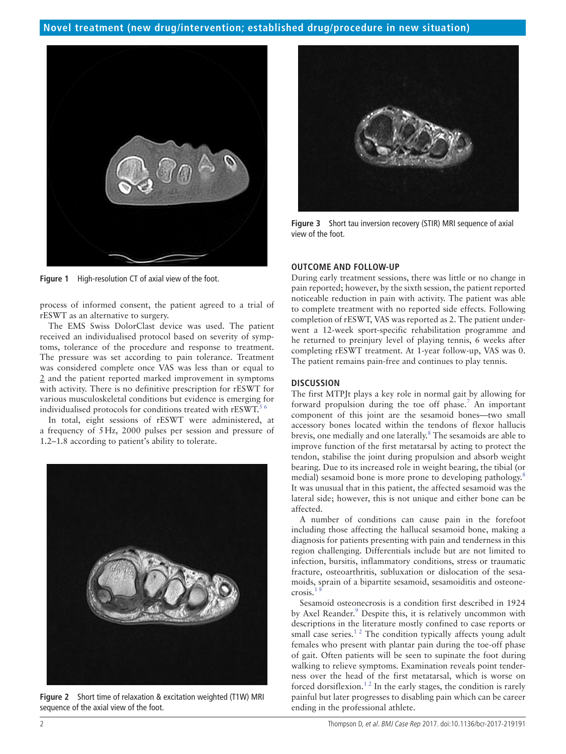

**Figure 1** High-resolution CT of axial view of the foot.

<span id="page-1-0"></span>process of informed consent, the patient agreed to a trial of rESWT as an alternative to surgery.

The EMS Swiss DolorClast device was used. The patient received an individualised protocol based on severity of symptoms, tolerance of the procedure and response to treatment. The pressure was set according to pain tolerance. Treatment was considered complete once VAS was less than or equal to 2 and the patient reported marked improvement in symptoms with activity. There is no definitive prescription for rESWT for various musculoskeletal conditions but evidence is emerging for individualised protocols for conditions treated with  $rESWT<sup>5</sup>$ 

In total, eight sessions of rESWT were administered, at a frequency of 5Hz, 2000 pulses per session and pressure of 1.2–1.8 according to patient's ability to tolerate.

<span id="page-1-1"></span>

**Figure 2** Short time of relaxation & excitation weighted (T1W) MRI sequence of the axial view of the foot.



**Figure 3** Short tau inversion recovery (STIR) MRI sequence of axial view of the foot.

## <span id="page-1-2"></span>**Outcome and follow-up**

During early treatment sessions, there was little or no change in pain reported; however, by the sixth session, the patient reported noticeable reduction in pain with activity. The patient was able to complete treatment with no reported side effects. Following completion of rESWT, VAS was reported as 2. The patient underwent a 12-week sport-specific rehabilitation programme and he returned to preinjury level of playing tennis, 6 weeks after completing rESWT treatment. At 1-year follow-up, VAS was 0. The patient remains pain-free and continues to play tennis.

#### **Discussion**

The first MTPJt plays a key role in normal gait by allowing for forward propulsion during the toe off phase.<sup>[7](#page-2-3)</sup> An important component of this joint are the sesamoid bones—two small accessory bones located within the tendons of flexor hallucis brevis, one medially and one laterally.<sup>8</sup> The sesamoids are able to improve function of the first metatarsal by acting to protect the tendon, stabilise the joint during propulsion and absorb weight bearing. Due to its increased role in weight bearing, the tibial (or medial) sesamoid bone is more prone to developing pathology.<sup>[8](#page-2-4)</sup> It was unusual that in this patient, the affected sesamoid was the lateral side; however, this is not unique and either bone can be affected.

A number of conditions can cause pain in the forefoot including those affecting the hallucal sesamoid bone, making a diagnosis for patients presenting with pain and tenderness in this region challenging. Differentials include but are not limited to infection, bursitis, inflammatory conditions, stress or traumatic fracture, osteoarthritis, subluxation or dislocation of the sesamoids, sprain of a bipartite sesamoid, sesamoiditis and osteonecrosis.

Sesamoid osteonecrosis is a condition first described in 1924 by Axel Reander.<sup>[9](#page-2-5)</sup> Despite this, it is relatively uncommon with descriptions in the literature mostly confined to case reports or small case series. $1<sup>2</sup>$  The condition typically affects young adult females who present with plantar pain during the toe-off phase of gait. Often patients will be seen to supinate the foot during walking to relieve symptoms. Examination reveals point tenderness over the head of the first metatarsal, which is worse on forced dorsiflexion.<sup>12</sup> In the early stages, the condition is rarely painful but later progresses to disabling pain which can be career ending in the professional athlete.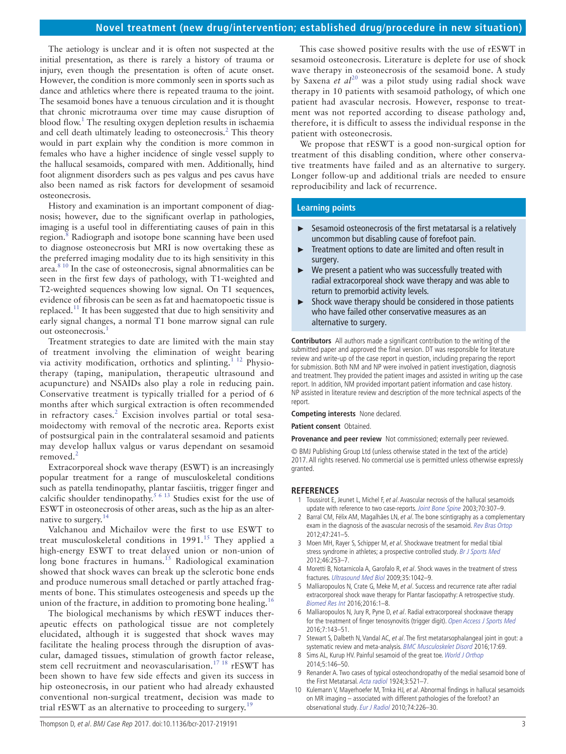# **Novel treatment (new drug/intervention; established drug/procedure in new situation)**

The aetiology is unclear and it is often not suspected at the initial presentation, as there is rarely a history of trauma or injury, even though the presentation is often of acute onset. However, the condition is more commonly seen in sports such as dance and athletics where there is repeated trauma to the joint. The sesamoid bones have a tenuous circulation and it is thought that chronic microtrauma over time may cause disruption of blood flow.<sup>[1](#page-2-0)</sup> The resulting oxygen depletion results in ischaemia and cell death ultimately leading to osteonecrosis.<sup>2</sup> This theory would in part explain why the condition is more common in females who have a higher incidence of single vessel supply to the hallucal sesamoids, compared with men. Additionally, hind foot alignment disorders such as pes valgus and pes cavus have also been named as risk factors for development of sesamoid osteonecrosis.

History and examination is an important component of diagnosis; however, due to the significant overlap in pathologies, imaging is a useful tool in differentiating causes of pain in this region.<sup>8</sup> Radiograph and isotope bone scanning have been used to diagnose osteonecrosis but MRI is now overtaking these as the preferred imaging modality due to its high sensitivity in this area.[8 10](#page-2-4) In the case of osteonecrosis, signal abnormalities can be seen in the first few days of pathology, with T1-weighted and T2-weighted sequences showing low signal. On T1 sequences, evidence of fibrosis can be seen as fat and haematopoetic tissue is replaced[.11](#page-3-0) It has been suggested that due to high sensitivity and early signal changes, a normal T1 bone marrow signal can rule out osteonecrosis.<sup>[1](#page-2-0)</sup>

Treatment strategies to date are limited with the main stay of treatment involving the elimination of weight bearing via activity modification, orthotics and splinting.<sup>1 12</sup> Physiotherapy (taping, manipulation, therapeutic ultrasound and acupuncture) and NSAIDs also play a role in reducing pain. Conservative treatment is typically trialled for a period of 6 months after which surgical extraction is often recommended in refractory cases.<sup>[2](#page-2-6)</sup> Excision involves partial or total sesamoidectomy with removal of the necrotic area. Reports exist of postsurgical pain in the contralateral sesamoid and patients may develop hallux valgus or varus dependant on sesamoid removed.<sup>[2](#page-2-6)</sup>

Extracorporeal shock wave therapy (ESWT) is an increasingly popular treatment for a range of musculoskeletal conditions such as patella tendinopathy, plantar fasciitis, trigger finger and calcific shoulder tendinopathy.<sup>[5 6 13](#page-2-2)</sup> Studies exist for the use of ESWT in osteonecrosis of other areas, such as the hip as an alternative to surgery. $14$ 

Valchanou and Michailov were the first to use ESWT to treat musculoskeletal conditions in  $1991$ <sup>[15](#page-3-2)</sup> They applied a high-energy ESWT to treat delayed union or non-union of long bone fractures in humans.<sup>[15](#page-3-2)</sup> Radiological examination showed that shock waves can break up the sclerotic bone ends and produce numerous small detached or partly attached fragments of bone. This stimulates osteogenesis and speeds up the union of the fracture, in addition to promoting bone healing.<sup>[16](#page-3-3)</sup>

The biological mechanisms by which rESWT induces therapeutic effects on pathological tissue are not completely elucidated, although it is suggested that shock waves may facilitate the healing process through the disruption of avascular, damaged tissues, stimulation of growth factor release, stem cell recruitment and neovascularisation.[17 18](#page-3-4) rESWT has been shown to have few side effects and given its success in hip osteonecrosis, in our patient who had already exhausted conventional non-surgical treatment, decision was made to trial rESWT as an alternative to proceeding to surgery.<sup>[19](#page-3-5)</sup>

This case showed positive results with the use of rESWT in sesamoid osteonecrosis. Literature is deplete for use of shock wave therapy in osteonecrosis of the sesamoid bone. A study by Saxena *et al*<sup>20</sup> was a pilot study using radial shock wave therapy in 10 patients with sesamoid pathology, of which one patient had avascular necrosis. However, response to treatment was not reported according to disease pathology and, therefore, it is difficult to assess the individual response in the patient with osteonecrosis.

We propose that rESWT is a good non-surgical option for treatment of this disabling condition, where other conservative treatments have failed and as an alternative to surgery. Longer follow-up and additional trials are needed to ensure reproducibility and lack of recurrence.

## **Learning points**

- ► Sesamoid osteonecrosis of the first metatarsal is a relatively uncommon but disabling cause of forefoot pain.
- ► Treatment options to date are limited and often result in surgery.
- ► We present a patient who was successfully treated with radial extracorporeal shock wave therapy and was able to return to premorbid activity levels.
- ► Shock wave therapy should be considered in those patients who have failed other conservative measures as an alternative to surgery.

**Contributors** All authors made a significant contribution to the writing of the submitted paper and approved the final version. DT was responsible for literature review and write-up of the case report in question, including preparing the report for submission. Both NM and NP were involved in patient investigation, diagnosis and treatment. They provided the patient images and assisted in writing up the case report. In addition, NM provided important patient information and case history. NP assisted in literature review and description of the more technical aspects of the report.

**Competing interests** None declared.

**Patient consent** Obtained.

**Provenance and peer review** Not commissioned; externally peer reviewed.

© BMJ Publishing Group Ltd (unless otherwise stated in the text of the article) 2017. All rights reserved. No commercial use is permitted unless otherwise expressly granted.

#### **References**

- <span id="page-2-0"></span>1 Toussirot E, Jeunet L, Michel F, et al. Avascular necrosis of the hallucal sesamoids update with reference to two case-reports. [Joint Bone Spine](http://dx.doi.org/10.1016/S1297-319X(03)00061-7) 2003;70:307-9.
- <span id="page-2-6"></span>2 Barral CM, Félix AM, Magalhães LN, et al. The bone scintigraphy as a complementary exam in the diagnosis of the avascular necrosis of the sesamoid. [Rev Bras Ortop](http://dx.doi.org/10.1016/S2255-4971(15)30093-8) 2012;47:241–5.
- <span id="page-2-1"></span>Moen MH, Rayer S, Schipper M, et al. Shockwave treatment for medial tibial stress syndrome in athletes; a prospective controlled study. [Br J Sports Med](http://dx.doi.org/10.1136/bjsm.2010.081992) 2012;46:253–7.
- 4 Moretti B, Notarnicola A, Garofalo R, et al. Shock waves in the treatment of stress fractures. [Ultrasound Med Biol](http://dx.doi.org/10.1016/j.ultrasmedbio.2008.12.002) 2009;35:1042–9.
- <span id="page-2-2"></span>5 Malliaropoulos N, Crate G, Meke M, et al. Success and recurrence rate after radial extracorporeal shock wave therapy for Plantar fasciopathy: A retrospective study. [Biomed Res Int](http://dx.doi.org/10.1155/2016/9415827) 2016;2016:1–8.
- 6 Malliaropoulos N, Jury R, Pyne D, et al. Radial extracorporeal shockwave therapy for the treatment of finger tenosynovitis (trigger digit). [Open Access J Sports Med](http://dx.doi.org/10.2147/OAJSM.S108126) 2016;7:143–51.
- <span id="page-2-3"></span>Stewart S, Dalbeth N, Vandal AC, et al. The first metatarsophalangeal joint in gout: a systematic review and meta-analysis. [BMC Musculoskelet Disord](http://dx.doi.org/10.1186/s12891-016-0919-9) 2016;17:69.
- <span id="page-2-4"></span>8 Sims AL, Kurup HV. Painful sesamoid of the great toe. [World J Orthop](http://dx.doi.org/10.5312/wjo.v5.i2.146) 2014;5:146–50.
- <span id="page-2-5"></span>9 Renander A. Two cases of typical osteochondropathy of the medial sesamoid bone of the First Metatarsal. [Acta radiol](http://dx.doi.org/10.3109/00016922409138053) 1924;3:521-7.
- 10 Kulemann V, Mayerhoefer M, Trnka HJ, et al. Abnormal findings in hallucal sesamoids on MR imaging – associated with different pathologies of the forefoot? an observational study. [Eur J Radiol](http://dx.doi.org/10.1016/j.ejrad.2009.01.040) 2010;74:226–30.